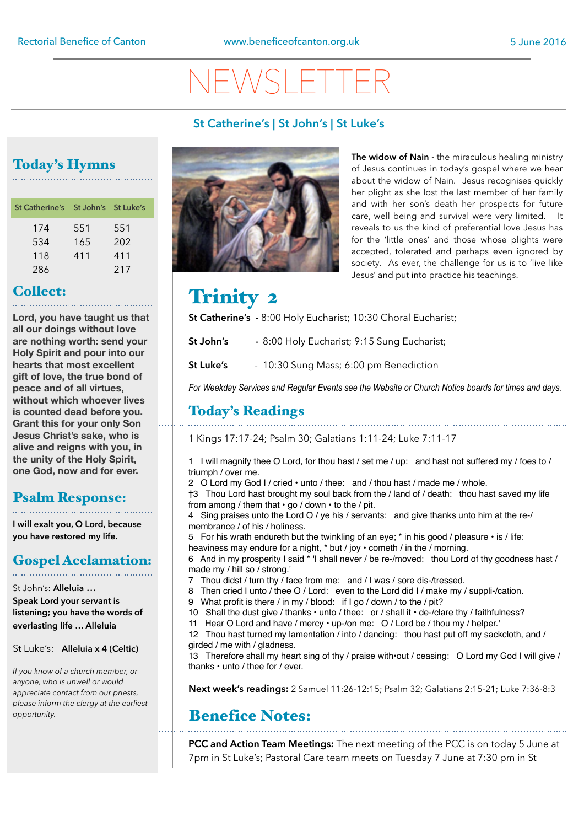# NEWSI

#### **St Catherine's | St John's | St Luke's**

#### Today's Hymns

| St Catherine's St John's St Luke's |     |     |
|------------------------------------|-----|-----|
| 174                                | 551 | 551 |
| 534                                | 165 | 202 |
| 118                                | 411 | 411 |
| 286                                |     | 21/ |

## Collect:

**Lord, you have taught us that all our doings without love are nothing worth: send your Holy Spirit and pour into our hearts that most excellent gift of love, the true bond of peace and of all virtues, without which whoever lives is counted dead before you. Grant this for your only Son Jesus Christ's sake, who is alive and reigns with you, in the unity of the Holy Spirit, one God, now and for ever.**

#### Psalm Response:

**I will exalt you, O Lord, because you have restored my life.** 

## Gospel Acclamation:

St John's: **Alleluia … Speak Lord your servant is listening; you have the words of everlasting life … Alleluia** 

St Luke's: **Alleluia x 4 (Celtic)**

*If you know of a church member, or anyone, who is unwell or would appreciate contact from our priests, please inform the clergy at the earliest opportunity.* 



**The widow of Nain -** the miraculous healing ministry of Jesus continues in today's gospel where we hear about the widow of Nain. Jesus recognises quickly her plight as she lost the last member of her family and with her son's death her prospects for future care, well being and survival were very limited. It reveals to us the kind of preferential love Jesus has for the 'little ones' and those whose plights were accepted, tolerated and perhaps even ignored by society. As ever, the challenge for us is to 'live like Jesus' and put into practice his teachings.

### Trinity 2

**St Catherine's -** 8:00 Holy Eucharist; 10:30 Choral Eucharist;

- **St John's** 8:00 Holy Eucharist; 9:15 Sung Eucharist;
- **St Luke's**  10:30 Sung Mass; 6:00 pm Benediction

*For Weekday Services and Regular Events see the Website or Church Notice boards for times and days.* 

### Today's Readings

1 Kings 17:17-24; Psalm 30; Galatians 1:11-24; Luke 7:11-17

1 I will magnify thee O Lord, for thou hast / set me / up: and hast not suffered my / foes to / triumph / over me.

2 O Lord my God I / cried • unto / thee: and / thou hast / made me / whole.

†3 Thou Lord hast brought my soul back from the / land of / death: thou hast saved my life from among / them that  $\cdot$  go / down  $\cdot$  to the / pit.

4 Sing praises unto the Lord O / ye his / servants: and give thanks unto him at the re-/ membrance / of his / holiness.

5 For his wrath endureth but the twinkling of an eye;  $*$  in his good / pleasure  $\cdot$  is / life: heaviness may endure for a night, \* but / joy  $\cdot$  cometh / in the / morning.

6 And in my prosperity I said \* 'I shall never / be re-/moved: thou Lord of thy goodness hast / made my / hill so / strong.'

7 Thou didst / turn thy / face from me: and / I was / sore dis-/tressed.

- 8 Then cried I unto / thee O / Lord: even to the Lord did I / make my / suppli-/cation.
- 9 What profit is there / in my / blood: if I go / down / to the / pit?
- 10 Shall the dust give / thanks unto / thee: or / shall it de-/clare thy / faithfulness?
- 11 Hear O Lord and have / mercy  $\cdot$  up-/on me: O / Lord be / thou my / helper.'

12 Thou hast turned my lamentation / into / dancing: thou hast put off my sackcloth, and / girded / me with / gladness.

13 Therefore shall my heart sing of thy / praise with•out / ceasing: O Lord my God I will give / thanks • unto / thee for / ever.

**Next week's readings:** 2 Samuel 11:26-12:15; Psalm 32; Galatians 2:15-21; Luke 7:36-8:3

### Benefice Notes:

**PCC and Action Team Meetings:** The next meeting of the PCC is on today 5 June at 7pm in St Luke's; Pastoral Care team meets on Tuesday 7 June at 7:30 pm in St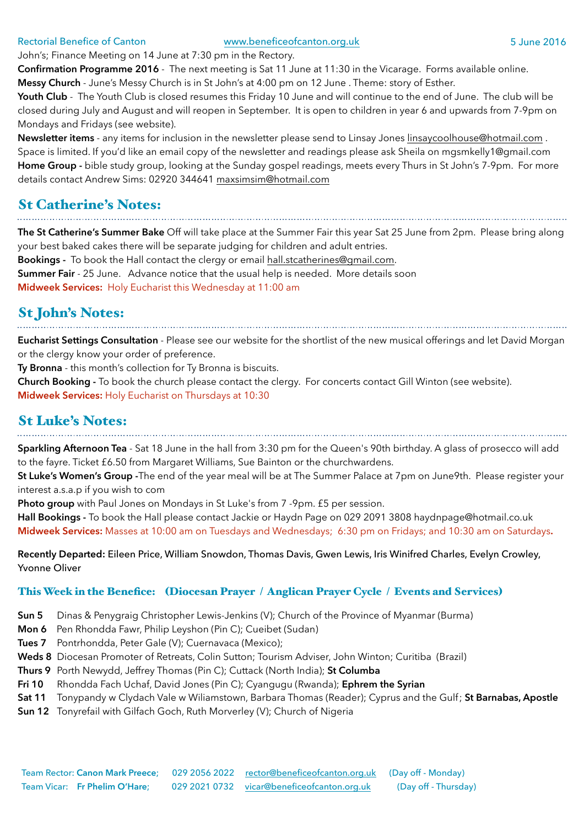#### Rectorial Benefice of Canton [www.beneficeofcanton.org.uk](http://www.beneficeofcanton.org.uk) 5 June 2016

John's; Finance Meeting on 14 June at 7:30 pm in the Rectory.

**Confirmation Programme 2016** - The next meeting is Sat 11 June at 11:30 in the Vicarage. Forms available online. **Messy Church** - June's Messy Church is in St John's at 4:00 pm on 12 June . Theme: story of Esther.

**Youth Club** - The Youth Club is closed resumes this Friday 10 June and will continue to the end of June. The club will be closed during July and August and will reopen in September. It is open to children in year 6 and upwards from 7-9pm on Mondays and Fridays (see website).

**Newsletter items** - any items for inclusion in the newsletter please send to Linsay Jones [linsaycoolhouse@hotmail.com](mailto:linsaycoolhouse@hotmail.com) . Space is limited. If you'd like an email copy of the newsletter and readings please ask Sheila on [mgsmkelly1@gmail.com](mailto:mgsmkelly1@gmail.com)  **Home Group -** bible study group, looking at the Sunday gospel readings, meets every Thurs in St John's 7-9pm. For more details contact Andrew Sims: 02920 344641 [maxsimsim@hotmail.com](mailto:maxsimsim@hotmail.com) 

#### St Catherine's Notes:

**The St Catherine's Summer Bake** Off will take place at the Summer Fair this year Sat 25 June from 2pm. Please bring along your best baked cakes there will be separate judging for children and adult entries. **Bookings -** To book the Hall contact the clergy or email [hall.stcatherines@gmail.com.](mailto:hall.stcatherines@gmail.com) **Summer Fair** - 25 June. Advance notice that the usual help is needed. More details soon

**Midweek Services:** Holy Eucharist this Wednesday at 11:00 am

### St John's Notes:

**Eucharist Settings Consultation** - Please see our website for the shortlist of the new musical offerings and let David Morgan or the clergy know your order of preference.

**Ty Bronna** - this month's collection for Ty Bronna is biscuits.

**Church Booking -** To book the church please contact the clergy. For concerts contact Gill Winton (see website). **Midweek Services:** Holy Eucharist on Thursdays at 10:30

#### St Luke's Notes:

**Sparkling Afternoon Tea** - Sat 18 June in the hall from 3:30 pm for the Queen's 90th birthday. A glass of prosecco will add to the fayre. Ticket £6.50 from Margaret Williams, Sue Bainton or the churchwardens.

**St Luke's Women's Group -**The end of the year meal will be at The Summer Palace at 7pm on June9th. Please register your interest a.s.a.p if you wish to com

**Photo group** with Paul Jones on Mondays in St Luke's from 7 -9pm. £5 per session.

**Hall Bookings -** To book the Hall please contact Jackie or Haydn Page on 029 2091 3808 [haydnpage@hotmail.co.uk](mailto:haydnpage@hotmail.co.uk) **Midweek Services:** Masses at 10:00 am on Tuesdays and Wednesdays; 6:30 pm on Fridays; and 10:30 am on Saturdays**.**

**Recently Departed:** Eileen Price, William Snowdon, Thomas Davis, Gwen Lewis, Iris Winifred Charles, Evelyn Crowley, Yvonne Oliver

#### This Week in the Benefice: (Diocesan Prayer / Anglican Prayer Cycle / Events and Services)

**Sun 5** Dinas & Penygraig Christopher Lewis-Jenkins (V); Church of the Province of Myanmar (Burma)

- **Mon 6** Pen Rhondda Fawr, Philip Leyshon (Pin C); Cueibet (Sudan)
- **Tues 7** Pontrhondda, Peter Gale (V); Cuernavaca (Mexico);
- **Weds 8** Diocesan Promoter of Retreats, Colin Sutton; Tourism Adviser, John Winton; Curitiba (Brazil)
- **Thurs 9** Porth Newydd, Jeffrey Thomas (Pin C); Cuttack (North India); **St Columba**
- **Fri 10** Rhondda Fach Uchaf, David Jones (Pin C); Cyangugu (Rwanda); **Ephrem the Syrian**
- **Sat 11** Tonypandy w Clydach Vale w Wiliamstown, Barbara Thomas (Reader); Cyprus and the Gulf ; **St Barnabas, Apostle**
- **Sun 12** Tonyrefail with Gilfach Goch, Ruth Morverley (V); Church of Nigeria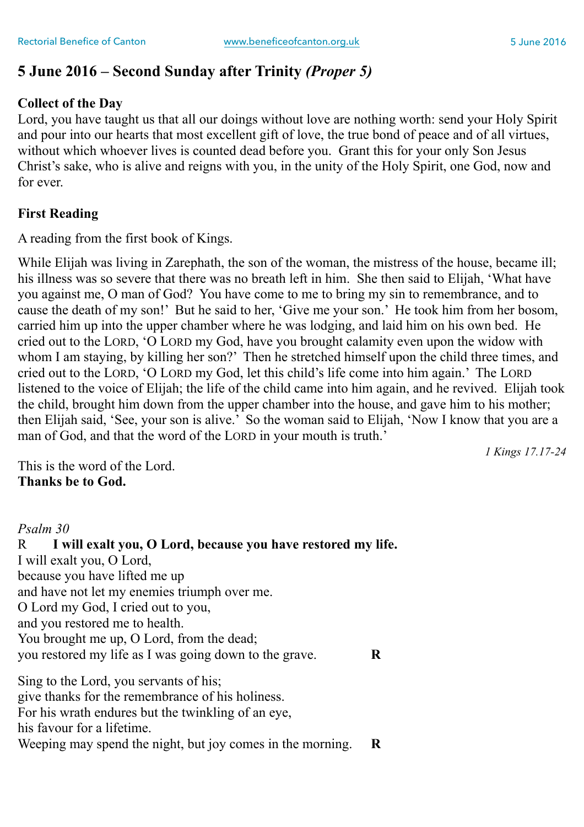#### **5 June 2016 – Second Sunday after Trinity** *(Proper 5)*

#### **Collect of the Day**

Lord, you have taught us that all our doings without love are nothing worth: send your Holy Spirit and pour into our hearts that most excellent gift of love, the true bond of peace and of all virtues, without which whoever lives is counted dead before you. Grant this for your only Son Jesus Christ's sake, who is alive and reigns with you, in the unity of the Holy Spirit, one God, now and for ever.

#### **First Reading**

A reading from the first book of Kings.

While Elijah was living in Zarephath, the son of the woman, the mistress of the house, became ill; his illness was so severe that there was no breath left in him. She then said to Elijah, 'What have you against me, O man of God? You have come to me to bring my sin to remembrance, and to cause the death of my son!' But he said to her, 'Give me your son.' He took him from her bosom, carried him up into the upper chamber where he was lodging, and laid him on his own bed. He cried out to the LORD, 'O LORD my God, have you brought calamity even upon the widow with whom I am staying, by killing her son?' Then he stretched himself upon the child three times, and cried out to the LORD, 'O LORD my God, let this child's life come into him again.' The LORD listened to the voice of Elijah; the life of the child came into him again, and he revived. Elijah took the child, brought him down from the upper chamber into the house, and gave him to his mother; then Elijah said, 'See, your son is alive.' So the woman said to Elijah, 'Now I know that you are a man of God, and that the word of the LORD in your mouth is truth.'

*1 Kings 17.17-24* 

This is the word of the Lord. **Thanks be to God.** 

#### *Psalm 30*

R **I will exalt you, O Lord, because you have restored my life.**  I will exalt you, O Lord, because you have lifted me up and have not let my enemies triumph over me. O Lord my God, I cried out to you, and you restored me to health. You brought me up, O Lord, from the dead; you restored my life as I was going down to the grave. **R**  Sing to the Lord, you servants of his; give thanks for the remembrance of his holiness. For his wrath endures but the twinkling of an eye, his favour for a lifetime. Weeping may spend the night, but joy comes in the morning. **R**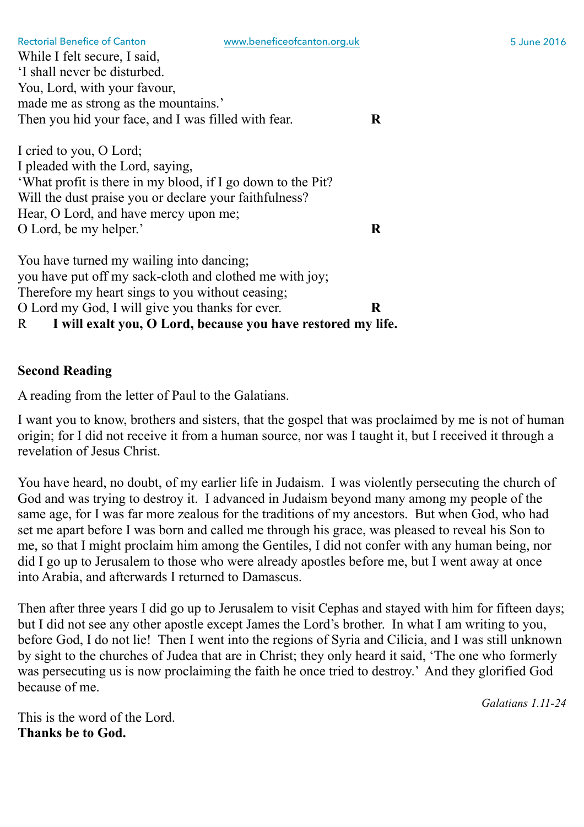While I felt secure, I said, 'I shall never be disturbed. You, Lord, with your favour, made me as strong as the mountains.' Then you hid your face, and I was filled with fear. **R** 

I cried to you, O Lord; I pleaded with the Lord, saying, 'What profit is there in my blood, if I go down to the Pit? Will the dust praise you or declare your faithfulness? Hear, O Lord, and have mercy upon me; O Lord, be my helper.' **R** 

You have turned my wailing into dancing; you have put off my sack-cloth and clothed me with joy; Therefore my heart sings to you without ceasing; O Lord my God, I will give you thanks for ever. **R**  R **I will exalt you, O Lord, because you have restored my life.** 

#### **Second Reading**

A reading from the letter of Paul to the Galatians.

I want you to know, brothers and sisters, that the gospel that was proclaimed by me is not of human origin; for I did not receive it from a human source, nor was I taught it, but I received it through a revelation of Jesus Christ.

You have heard, no doubt, of my earlier life in Judaism. I was violently persecuting the church of God and was trying to destroy it. I advanced in Judaism beyond many among my people of the same age, for I was far more zealous for the traditions of my ancestors. But when God, who had set me apart before I was born and called me through his grace, was pleased to reveal his Son to me, so that I might proclaim him among the Gentiles, I did not confer with any human being, nor did I go up to Jerusalem to those who were already apostles before me, but I went away at once into Arabia, and afterwards I returned to Damascus.

Then after three years I did go up to Jerusalem to visit Cephas and stayed with him for fifteen days; but I did not see any other apostle except James the Lord's brother. In what I am writing to you, before God, I do not lie! Then I went into the regions of Syria and Cilicia, and I was still unknown by sight to the churches of Judea that are in Christ; they only heard it said, 'The one who formerly was persecuting us is now proclaiming the faith he once tried to destroy.' And they glorified God because of me.

This is the word of the Lord. **Thanks be to God.**

*Galatians 1.11-24*